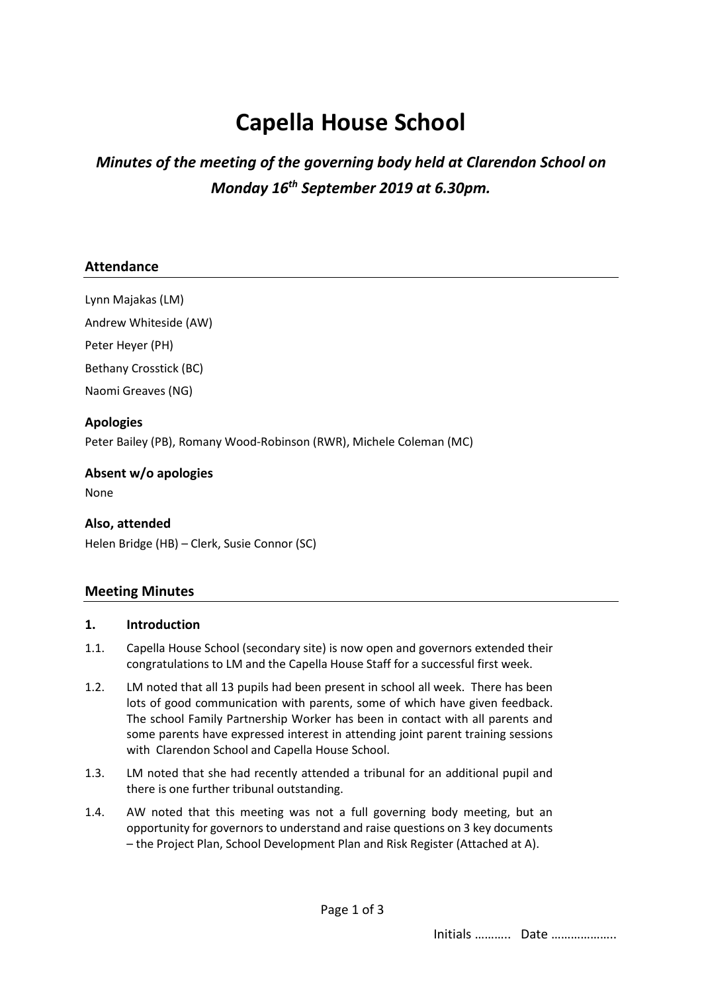# **Capella House School**

## *Minutes of the meeting of the governing body held at Clarendon School on Monday 16th September 2019 at 6.30pm.*

#### **Attendance**

Lynn Majakas (LM)

Andrew Whiteside (AW)

Peter Heyer (PH)

Bethany Crosstick (BC)

Naomi Greaves (NG)

**Apologies** Peter Bailey (PB), Romany Wood-Robinson (RWR), Michele Coleman (MC)

#### **Absent w/o apologies**

None

#### **Also, attended**

Helen Bridge (HB) – Clerk, Susie Connor (SC)

#### **Meeting Minutes**

#### **1. Introduction**

- 1.1. Capella House School (secondary site) is now open and governors extended their congratulations to LM and the Capella House Staff for a successful first week.
- 1.2. LM noted that all 13 pupils had been present in school all week. There has been lots of good communication with parents, some of which have given feedback. The school Family Partnership Worker has been in contact with all parents and some parents have expressed interest in attending joint parent training sessions with Clarendon School and Capella House School.
- 1.3. LM noted that she had recently attended a tribunal for an additional pupil and there is one further tribunal outstanding.
- 1.4. AW noted that this meeting was not a full governing body meeting, but an opportunity for governors to understand and raise questions on 3 key documents – the Project Plan, School Development Plan and Risk Register (Attached at A).

Initials ……….. Date ………………..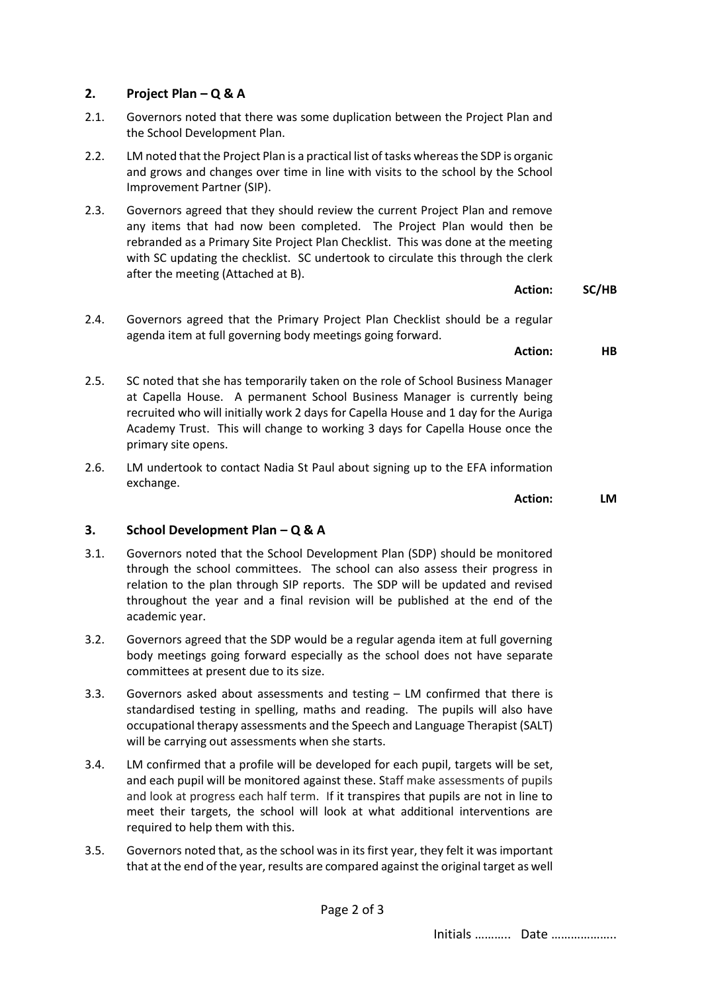### **2. Project Plan – Q & A**

- 2.1. Governors noted that there was some duplication between the Project Plan and the School Development Plan.
- 2.2. LM noted that the Project Plan is a practical list of tasks whereas the SDP is organic and grows and changes over time in line with visits to the school by the School Improvement Partner (SIP).
- 2.3. Governors agreed that they should review the current Project Plan and remove any items that had now been completed. The Project Plan would then be rebranded as a Primary Site Project Plan Checklist. This was done at the meeting with SC updating the checklist. SC undertook to circulate this through the clerk after the meeting (Attached at B).
- 2.4. Governors agreed that the Primary Project Plan Checklist should be a regular agenda item at full governing body meetings going forward.
	- **Action: HB**
- 2.5. SC noted that she has temporarily taken on the role of School Business Manager at Capella House. A permanent School Business Manager is currently being recruited who will initially work 2 days for Capella House and 1 day for the Auriga Academy Trust. This will change to working 3 days for Capella House once the primary site opens.
- 2.6. LM undertook to contact Nadia St Paul about signing up to the EFA information exchange.

**Action: LM**

**Action: SC/HB**

#### **3. School Development Plan – Q & A**

- 3.1. Governors noted that the School Development Plan (SDP) should be monitored through the school committees. The school can also assess their progress in relation to the plan through SIP reports. The SDP will be updated and revised throughout the year and a final revision will be published at the end of the academic year.
- 3.2. Governors agreed that the SDP would be a regular agenda item at full governing body meetings going forward especially as the school does not have separate committees at present due to its size.
- 3.3. Governors asked about assessments and testing LM confirmed that there is standardised testing in spelling, maths and reading. The pupils will also have occupational therapy assessments and the Speech and Language Therapist (SALT) will be carrying out assessments when she starts.
- 3.4. LM confirmed that a profile will be developed for each pupil, targets will be set, and each pupil will be monitored against these. Staff make assessments of pupils and look at progress each half term. If it transpires that pupils are not in line to meet their targets, the school will look at what additional interventions are required to help them with this.
- 3.5. Governors noted that, as the school was in its first year, they felt it was important that at the end of the year, results are compared against the original target as well

Page 2 of 3